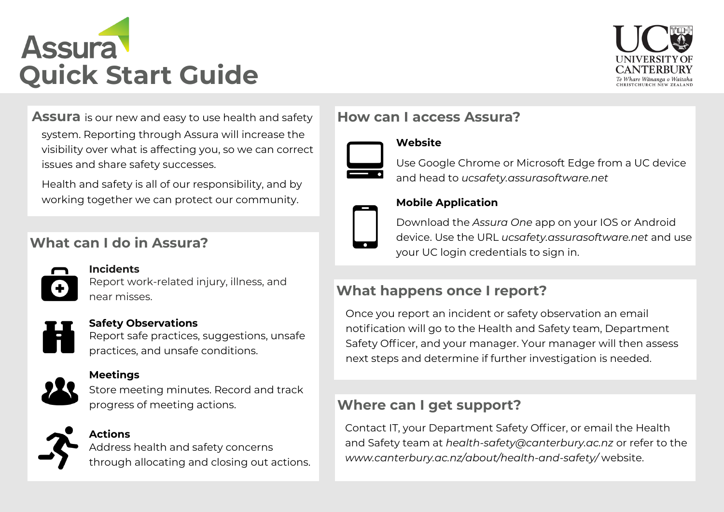



**Assura** is our new and easy to use health and safety system. Reporting through Assura will increase the visibility over what is affecting you, so we can correct issues and share safety successes.

Health and safety is all of our responsibility, and by working together we can protect our community.

# **What can I do in Assura?**



## **Incidents** Report work-related injury, illness, and near misses.

### Report safe practices, suggestions, unsafe practices, and unsafe conditions.

**Safety Observations**



### **Meetings**

Store meeting minutes. Record and track progress of meeting actions.



## **Actions**

Address health and safety concerns through allocating and closing out actions.

# **How can I access Assura?**

**Website**



## Use Google Chrome or Microsoft Edge from a UC device and head to *ucsafety.assurasoftware.net*



## **Mobile Application**

Download the *Assura One* app on your IOS or Android device. Use the URL *ucsafety.assurasoftware.net* and use your UC login credentials to sign in.

# **What happens once I report?**

Once you report an incident or safety observation an email notification will go to the Health and Safety team, Department Safety Officer, and your manager. Your manager will then assess next steps and determine if further investigation is needed.

## **Where can I get support?**

Contact IT, your Department Safety Officer, or email the Health and Safety team at *health-safety@canterbury.ac.nz* or refer to the *www.canterbury.ac.nz/about/health-and-safety/* website.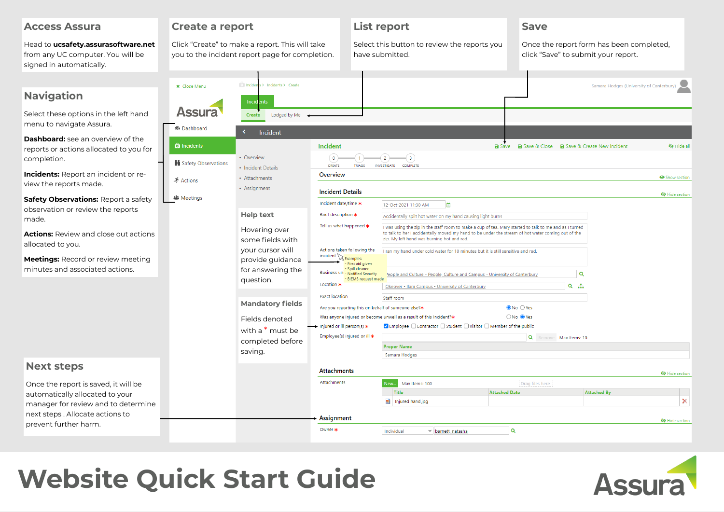| <b>Access Assura</b>                                                                                                                                                                                                                    | <b>Create a report</b>                                                                             |                                                                                                                                 |                                                                                                                                                                                                                                                                                                           | <b>List report</b>                                                                                                                                                                                                                                                                                                                                                                                                                                                                                                                                                                        | <b>Save</b>                                                                     |                                                      |  |
|-----------------------------------------------------------------------------------------------------------------------------------------------------------------------------------------------------------------------------------------|----------------------------------------------------------------------------------------------------|---------------------------------------------------------------------------------------------------------------------------------|-----------------------------------------------------------------------------------------------------------------------------------------------------------------------------------------------------------------------------------------------------------------------------------------------------------|-------------------------------------------------------------------------------------------------------------------------------------------------------------------------------------------------------------------------------------------------------------------------------------------------------------------------------------------------------------------------------------------------------------------------------------------------------------------------------------------------------------------------------------------------------------------------------------------|---------------------------------------------------------------------------------|------------------------------------------------------|--|
| Head to ucsafety.assurasoftware.net<br>from any UC computer. You will be<br>signed in automatically.                                                                                                                                    | Click "Create" to make a report. This will take<br>you to the incident report page for completion. |                                                                                                                                 |                                                                                                                                                                                                                                                                                                           | Select this button to review the reports you<br>have submitted.                                                                                                                                                                                                                                                                                                                                                                                                                                                                                                                           | Once the report form has been completed,<br>click "Save" to submit your report. |                                                      |  |
| <b>Navigation</b><br>Select these options in the left hand<br>menu to navigate Assura.<br><b>Dashboard:</b> see an overview of the<br>reports or actions allocated to you for<br>completion.                                            | <b>x</b> Close Menu<br><b>Assura</b><br><b>B</b> Dashboard<br><b>O</b> Incidents                   | Incidents > Incidents > Create<br>Incidents<br>Create<br>Lodged by Me <<br>Incident<br>$\epsilon$<br>• Overview                 | Incident<br>$\left( 0\right)$                                                                                                                                                                                                                                                                             | $\overline{2}$<br>(3                                                                                                                                                                                                                                                                                                                                                                                                                                                                                                                                                                      | <b>a</b> Save <b>a</b> Save & Close <b>a</b> Save & Create New Incident         | Samara Hodges (University of Canterbury)<br>Nide all |  |
| <b>Incidents:</b> Report an incident or re-<br>view the reports made.                                                                                                                                                                   | Safety Observations<br>ぶ Actions                                                                   | • Incident Details<br>• Attachments<br>• Assignment                                                                             | CREATE<br>TRIAGE<br>Overview                                                                                                                                                                                                                                                                              | <b>INVESTIGATE</b><br>COMPLETE                                                                                                                                                                                                                                                                                                                                                                                                                                                                                                                                                            |                                                                                 | Show section                                         |  |
| Safety Observations: Report a safety<br>observation or review the reports<br>made.<br><b>Actions:</b> Review and close out actions<br>allocated to you.<br><b>Meetings:</b> Record or review meeting<br>minutes and associated actions. | <b>卷</b> Meetings                                                                                  | <b>Help text</b><br>Hovering over<br>some fields with<br>your cursor will<br>provide guidance<br>for answering the<br>question. | <b>Incident Details</b><br>Incident date/time *<br>Brief description *<br>Tell us what happened $*$<br>Actions taken following the<br>$incident \sqrt{Examples:}$<br>- First aid given<br>Spill cleaned<br>Business un - Notified Security<br>- BIEMS request made<br>Location *<br><b>Exact location</b> | 12-Oct-2021 11:30 AM<br>曲<br>Accidentally spilt hot water on my hand causing light burns<br>I was using the zip in the staff room to make a cup of tea. Mary started to talk to me and as I turned<br>to talk to her I accidentally moved my hand to be under the stream of hot water coming out of the<br>zip. My left hand was burning hot and red.<br>I ran my hand under cold water for 10 minutes but it is still sensitive and red.<br>leople and Culture - People, Culture and Campus - University of Canterbury<br>Okeover - Ilam Campus - University of Canterbury<br>Staff room |                                                                                 | N Hide section<br>Q<br>$Q_{\text{min}}$              |  |
|                                                                                                                                                                                                                                         |                                                                                                    | <b>Mandatory fields</b><br>Fields denoted<br>with a $*$ must be<br>completed before<br>saving.                                  | Are you reporting this on behalf of someone else?*<br>Injured or ill person(s) $*$<br>Employee(s) injured or ill *                                                                                                                                                                                        | Was anyone injured or become unwell as a result of this Incident?*<br>✔ Employee □ Contractor □ Student □ Visitor □ Member of the public<br><b>Proper Name</b><br>Samara Hodges                                                                                                                                                                                                                                                                                                                                                                                                           | $\odot$ No $\odot$ Yes<br>○No ● Yes<br>Q Remove Max Items: 10                   |                                                      |  |
| <b>Next steps</b>                                                                                                                                                                                                                       |                                                                                                    |                                                                                                                                 | <b>Attachments</b>                                                                                                                                                                                                                                                                                        |                                                                                                                                                                                                                                                                                                                                                                                                                                                                                                                                                                                           |                                                                                 | Hide section                                         |  |
| Once the report is saved, it will be<br>automatically allocated to your<br>manager for review and to determine<br>next steps. Allocate actions to<br>prevent further harm.                                                              |                                                                                                    |                                                                                                                                 | Attachments                                                                                                                                                                                                                                                                                               | New l<br>Max Items: 100<br><b>Title</b><br>injured hand.jpg                                                                                                                                                                                                                                                                                                                                                                                                                                                                                                                               | Drag files here<br><b>Attached Date</b>                                         | <b>Attached By</b><br>$\times$                       |  |
|                                                                                                                                                                                                                                         |                                                                                                    |                                                                                                                                 | Assignment<br>Owner *                                                                                                                                                                                                                                                                                     | Individual<br>v barnett, natasha                                                                                                                                                                                                                                                                                                                                                                                                                                                                                                                                                          | Q                                                                               | Hide section                                         |  |

# **Website Quick Start Guide**